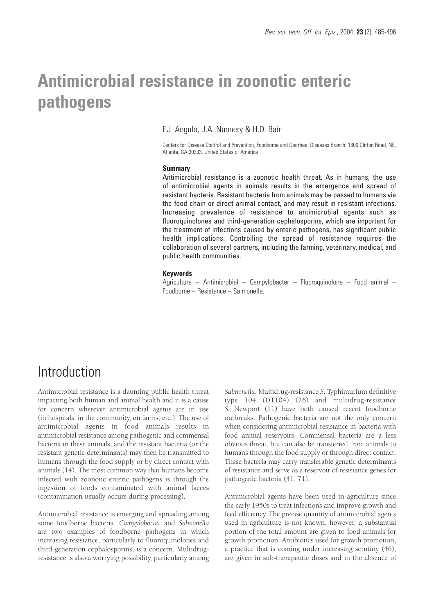# **Antimicrobial resistance in zoonotic enteric pathogens**

F.J. Angulo, J.A. Nunnery & H.D. Bair

Centers for Disease Control and Prevention, Foodborne and Diarrheal Diseases Branch, 1600 Clifton Road, NE, Atlanta, GA 30333, United States of America

### **Summary**

Antimicrobial resistance is a zoonotic health threat. As in humans, the use of antimicrobial agents in animals results in the emergence and spread of resistant bacteria. Resistant bacteria from animals may be passed to humans via the food chain or direct animal contact, and may result in resistant infections. Increasing prevalence of resistance to antimicrobial agents such as fluoroquinolones and third-generation cephalosporins, which are important for the treatment of infections caused by enteric pathogens, has significant public health implications. Controlling the spread of resistance requires the collaboration of several partners, including the farming, veterinary, medical, and public health communities.

### **Keywords**

Agriculture – Antimicrobial – Campylobacter – Fluoroquinolone – Food animal – Foodborne – Resistance – Salmonella.

### **Introduction**

Antimicrobial resistance is a daunting public health threat impacting both human and animal health and it is a cause for concern wherever antimicrobial agents are in use (in hospitals, in the community, on farms, etc.). The use of antimicrobial agents in food animals results in antimicrobial resistance among pathogenic and commensal bacteria in these animals, and the resistant bacteria (or the resistant genetic determinants) may then be transmitted to humans through the food supply or by direct contact with animals (14). The most common way that humans become infected with zoonotic enteric pathogens is through the ingestion of foods contaminated with animal faeces (contamination usually occurs during processing).

Antimicrobial resistance is emerging and spreading among some foodborne bacteria. *Campylobacter* and *Salmonella* are two examples of foodborne pathogens in which increasing resistance, particularly to fluoroquinolones and third generation cephalosporins, is a concern. Multidrugresistance is also a worrying possibility, particularly among *Salmonella*. Multidrug-resistance *S*. Typhimurium definitive type 104 (DT104) (26) and multidrug-resistance *S.* Newport (11) have both caused recent foodborne outbreaks. Pathogenic bacteria are not the only concern when considering antimicrobial resistance in bacteria with food animal reservoirs. Commensal bacteria are a less obvious threat, but can also be transferred from animals to humans through the food supply or through direct contact. These bacteria may carry transferable genetic determinants of resistance and serve as a reservoir of resistance genes for pathogenic bacteria (41, 71).

Antimicrobial agents have been used in agriculture since the early 1950s to treat infections and improve growth and feed efficiency. The precise quantity of antimicrobial agents used in agriculture is not known, however, a substantial portion of the total amount are given to food animals for growth promotion. Antibiotics used for growth promotion, a practice that is coming under increasing scrutiny (46), are given in sub-therapeutic doses and in the absence of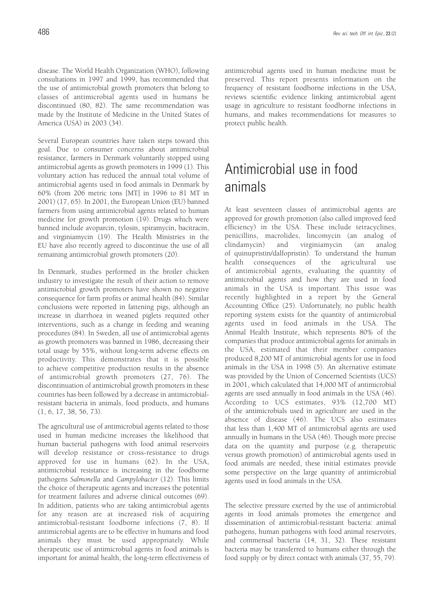disease. The World Health Organization (WHO), following consultations in 1997 and 1999, has recommended that the use of antimicrobial growth promoters that belong to classes of antimicrobial agents used in humans be discontinued (80, 82). The same recommendation was made by the Institute of Medicine in the United States of America (USA) in 2003 (34).

Several European countries have taken steps toward this goal. Due to consumer concerns about antimicrobial resistance, farmers in Denmark voluntarily stopped using antimicrobial agents as growth promoters in 1999 (1). This voluntary action has reduced the annual total volume of antimicrobial agents used in food animals in Denmark by 60% (from 206 metric tons [MT] in 1996 to 81 MT in 2001) (17, 65). In 2001, the European Union (EU) banned farmers from using antimicrobial agents related to human medicine for growth promotion (19). Drugs which were banned include avoparcin, tylosin, spiramycin, bacitracin, and virginiamycin (19). The Health Ministries in the EU have also recently agreed to discontinue the use of all remaining antimicrobial growth promoters (20).

In Denmark, studies performed in the broiler chicken industry to investigate the result of their action to remove antimicrobial growth promoters have shown no negative consequence for farm profits or animal health (84). Similar conclusions were reported in fattening pigs, although an increase in diarrhoea in weaned piglets required other interventions, such as a change in feeding and weaning procedures (84). In Sweden, all use of antimicrobial agents as growth promoters was banned in 1986, decreasing their total usage by 55%, without long-term adverse effects on productivity. This demonstrates that it is possible to achieve competitive production results in the absence of antimicrobial growth promoters (27, 76). The discontinuation of antimicrobial growth promoters in these countries has been followed by a decrease in antimicrobialresistant bacteria in animals, food products, and humans (1, 6, 17, 38, 56, 73).

The agricultural use of antimicrobial agents related to those used in human medicine increases the likelihood that human bacterial pathogens with food animal reservoirs will develop resistance or cross-resistance to drugs approved for use in humans (62). In the USA, antimicrobial resistance is increasing in the foodborne pathogens *Salmonella* and *Campylobacter* (12). This limits the choice of therapeutic agents and increases the potential for treatment failures and adverse clinical outcomes (69). In addition, patients who are taking antimicrobial agents for any reason are at increased risk of acquiring antimicrobial-resistant foodborne infections (7, 8). If antimicrobial agents are to be effective in humans and food animals they must be used appropriately. While therapeutic use of antimicrobial agents in food animals is important for animal health, the long-term effectiveness of antimicrobial agents used in human medicine must be preserved. This report presents information on the frequency of resistant foodborne infections in the USA, reviews scientific evidence linking antimicrobial agent usage in agriculture to resistant foodborne infections in humans, and makes recommendations for measures to protect public health.

# Antimicrobial use in food animals

At least seventeen classes of antimicrobial agents are approved for growth promotion (also called improved feed efficiency) in the USA. These include tetracyclines, penicillins, macrolides, lincomycin (an analog of clindamycin) and virginiamycin (an analog of quinupristin/dalfopristin). To understand the human health consequences of the agricultural use of antimicrobial agents, evaluating the quantity of antimicrobial agents and how they are used in food animals in the USA is important. This issue was recently highlighted in a report by the General Accounting Office (25). Unfortunately, no public health reporting system exists for the quantity of antimicrobial agents used in food animals in the USA. The Animal Health Institute, which represents 80% of the companies that produce antimicrobial agents for animals in the USA, estimated that their member companies produced 8,200 MT of antimicrobial agents for use in food animals in the USA in 1998 (5). An alternative estimate was provided by the Union of Concerned Scientists (UCS) in 2001, which calculated that 14,000 MT of antimicrobial agents are used annually in food animals in the USA (46). According to UCS estimates, 93% (12,700 MT) of the antimicrobials used in agriculture are used in the absence of disease (46). The UCS also estimates that less than 1,400 MT of antimicrobial agents are used annually in humans in the USA (46). Though more precise data on the quantity and purpose (e.g. therapeutic versus growth promotion) of antimicrobial agents used in food animals are needed, these initial estimates provide some perspective on the large quantity of antimicrobial agents used in food animals in the USA.

The selective pressure exerted by the use of antimicrobial agents in food animals promotes the emergence and dissemination of antimicrobial-resistant bacteria: animal pathogens, human pathogens with food animal reservoirs, and commensal bacteria (14, 31, 32). These resistant bacteria may be transferred to humans either through the food supply or by direct contact with animals (37, 55, 79).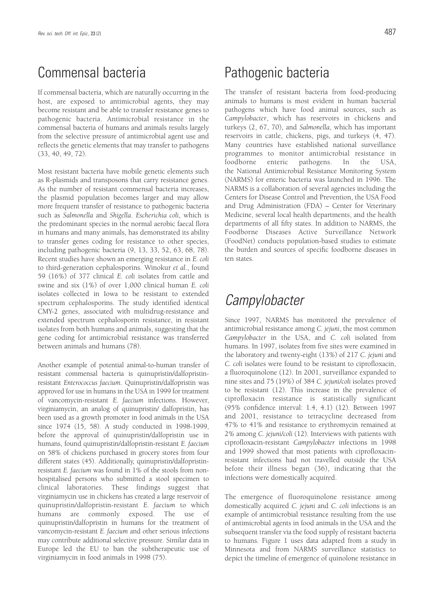# Commensal bacteria

If commensal bacteria, which are naturally occurring in the host, are exposed to antimicrobial agents, they may become resistant and be able to transfer resistance genes to pathogenic bacteria. Antimicrobial resistance in the commensal bacteria of humans and animals results largely from the selective pressure of antimicrobial agent use and reflects the genetic elements that may transfer to pathogens (33, 40, 49, 72).

Most resistant bacteria have mobile genetic elements such as R-plasmids and transposons that carry resistance genes. As the number of resistant commensal bacteria increases, the plasmid population becomes larger and may allow more frequent transfer of resistance to pathogenic bacteria such as *Salmonella* and *Shigella*. *Escherichia coli*, which is the predominant species in the normal aerobic faecal flora in humans and many animals, has demonstrated its ability to transfer genes coding for resistance to other species, including pathogenic bacteria (9, 13, 33, 52, 63, 68, 78). Recent studies have shown an emerging resistance in *E. coli* to third-generation cephalosporins. Winokur *et al.*, found 59 (16%) of 377 clinical *E. coli* isolates from cattle and swine and six (1%) of over 1,000 clinical human *E. coli* isolates collected in Iowa to be resistant to extended spectrum cephalosporins. The study identified identical CMY-2 genes, associated with multidrug-resistance and extended spectrum cephalosporin resistance, in resistant isolates from both humans and animals, suggesting that the gene coding for antimicrobial resistance was transferred between animals and humans (78).

Another example of potential animal-to-human transfer of resistant commensal bacteria is quinupristin/dalfopristinresistant *Enterococcus faecium*. Quinupristin/dalfopristin was approved for use in humans in the USA in 1999 for treatment of vancomycin-resistant *E. faecium* infections. However, virginiamycin, an analog of quinupristin/ dalfopristin, has been used as a growth promoter in food animals in the USA since 1974 (15, 58). A study conducted in 1998-1999, before the approval of quinupristin/dalfopristin use in humans, found quinupristin/dalfopristin-resistant *E. faecium* on 58% of chickens purchased in grocery stores from four different states (45). Additionally, quinupristin/dalfopristinresistant *E. faecium* was found in 1% of the stools from nonhospitalised persons who submitted a stool specimen to clinical laboratories. These findings suggest that virginiamycin use in chickens has created a large reservoir of quinupristin/dalfopristin-resistant *E. faecium* to which humans are commonly exposed. The use of quinupristin/dalfopristin in humans for the treatment of vancomycin-resistant *E. faecium* and other serious infections may contribute additional selective pressure. Similar data in Europe led the EU to ban the subtherapeutic use of virginiamycin in food animals in 1998 (75).

# Pathogenic bacteria

The transfer of resistant bacteria from food-producing animals to humans is most evident in human bacterial pathogens which have food animal sources, such as *Campylobacter*, which has reservoirs in chickens and turkeys (2, 67, 70), and *Salmonella*, which has important reservoirs in cattle, chickens, pigs, and turkeys (4, 47). Many countries have established national surveillance programmes to monitor antimicrobial resistance in foodborne enteric pathogens. In the USA, the National Antimicrobial Resistance Monitoring System (NARMS) for enteric bacteria was launched in 1996. The NARMS is a collaboration of several agencies including the Centers for Disease Control and Prevention, the USA Food and Drug Administration (FDA) – Center for Veterinary Medicine, several local health departments, and the health departments of all fifty states. In addition to NARMS, the Foodborne Diseases Active Surveillance Network (FoodNet) conducts population-based studies to estimate the burden and sources of specific foodborne diseases in ten states.

# **Campylobacter**

Since 1997, NARMS has monitored the prevalence of antimicrobial resistance among *C. jejuni*, the most common *Campylobacter* in the USA, and *C. coli* isolated from humans. In 1997, isolates from five sites were examined in the laboratory and twenty-eight (13%) of 217 *C. jejuni* and *C. coli* isolates were found to be resistant to ciprofloxacin, a fluoroquinolone (12). In 2001, surveillance expanded to nine sites and 75 (19%) of 384 *C. jejuni/coli* isolates proved to be resistant (12). This increase in the prevalence of ciprofloxacin resistance is statistically significant (95% confidence interval: 1.4, 4.1) (12). Between 1997 and 2001, resistance to tetracycline decreased from 47% to 41% and resistance to erythromycin remained at 2% among *C. jejuni/coli* (12). Interviews with patients with ciprofloxacin-resistant *Campylobacter* infections in 1998 and 1999 showed that most patients with ciprofloxacinresistant infections had not travelled outside the USA before their illness began (36), indicating that the infections were domestically acquired.

The emergence of fluoroquinolone resistance among domestically acquired *C. jejuni* and *C. coli* infections is an example of antimicrobial resistance resulting from the use of antimicrobial agents in food animals in the USA and the subsequent transfer via the food supply of resistant bacteria to humans. Figure 1 uses data adapted from a study in Minnesota and from NARMS surveillance statistics to depict the timeline of emergence of quinolone resistance in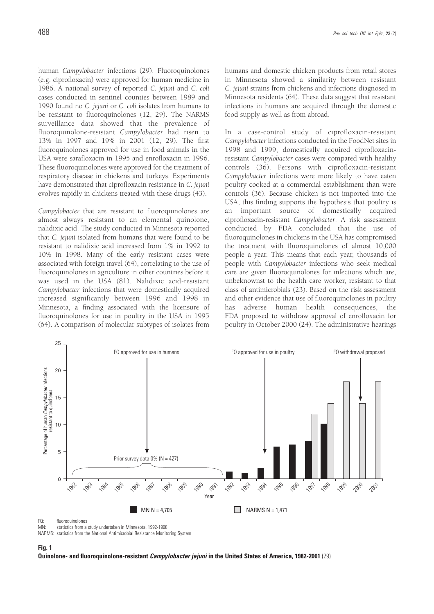human *Campylobacter* infections (29). Fluoroquinolones (e.g. ciprofloxacin) were approved for human medicine in 1986. A national survey of reported *C. jejuni* and *C. coli* cases conducted in sentinel counties between 1989 and 1990 found no *C. jejuni* or *C. coli* isolates from humans to be resistant to fluoroquinolones (12, 29). The NARMS surveillance data showed that the prevalence of fluoroquinolone-resistant *Campylobacter* had risen to 13% in 1997 and 19% in 2001 (12, 29). The first fluoroquinolones approved for use in food animals in the USA were sarafloxacin in 1995 and enrofloxacin in 1996. These fluoroquinolones were approved for the treatment of respiratory disease in chickens and turkeys. Experiments have demonstrated that ciprofloxacin resistance in *C. jejuni* evolves rapidly in chickens treated with these drugs (43).

*Campylobacter* that are resistant to fluoroquinolones are almost always resistant to an elemental quinolone, nalidixic acid. The study conducted in Minnesota reported that *C. jejuni* isolated from humans that were found to be resistant to nalidixic acid increased from 1% in 1992 to 10% in 1998. Many of the early resistant cases were associated with foreign travel (64), correlating to the use of fluoroquinolones in agriculture in other countries before it was used in the USA (81). Nalidixic acid-resistant *Campylobacter* infections that were domestically acquired increased significantly between 1996 and 1998 in Minnesota, a finding associated with the licensure of fluoroquinolones for use in poultry in the USA in 1995 (64). A comparison of molecular subtypes of isolates from

humans and domestic chicken products from retail stores in Minnesota showed a similarity between resistant *C. jejuni* strains from chickens and infections diagnosed in Minnesota residents (64). These data suggest that resistant infections in humans are acquired through the domestic food supply as well as from abroad.

In a case-control study of ciprofloxacin-resistant *Campylobacter* infections conducted in the FoodNet sites in 1998 and 1999, domestically acquired ciprofloxacinresistant *Campylobacter* cases were compared with healthy controls (36). Persons with ciprofloxacin-resistant *Campylobacter* infections were more likely to have eaten poultry cooked at a commercial establishment than were controls (36). Because chicken is not imported into the USA, this finding supports the hypothesis that poultry is an important source of domestically acquired ciprofloxacin-resistant *Campylobacter*. A risk assessment conducted by FDA concluded that the use of fluoroquinolones in chickens in the USA has compromised the treatment with fluoroquinolones of almost 10,000 people a year. This means that each year, thousands of people with *Campylobacter* infections who seek medical care are given fluoroquinolones for infections which are, unbeknownst to the health care worker, resistant to that class of antimicrobials (23). Based on the risk assessment and other evidence that use of fluoroquinolones in poultry has adverse human health consequences, the FDA proposed to withdraw approval of enrofloxacin for poultry in October 2000 (24). The administrative hearings



statistics from a study undertaken in Minnesota, 1992-1998

NARMS: statistics from the National Antimicrobial Resistance Monitoring System

#### **Fig. 1**

**Quinolone- and fluoroquinolone-resistant Campylobacter jejuni in the United States of America, 1982-2001** (29)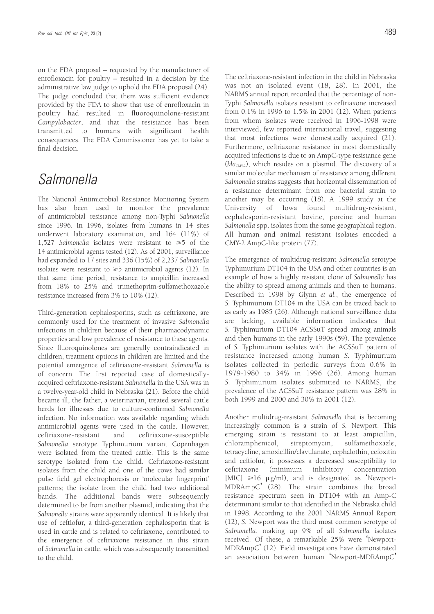on the FDA proposal – requested by the manufacturer of enrofloxacin for poultry – resulted in a decision by the administrative law judge to uphold the FDA proposal (24). The judge concluded that there was sufficient evidence provided by the FDA to show that use of enrofloxacin in poultry had resulted in fluoroquinolone-resistant *Campylobacter*, and that the resistance has been transmitted to humans with significant health consequences. The FDA Commissioner has yet to take a final decision.

# Salmonella

The National Antimicrobial Resistance Monitoring System has also been used to monitor the prevalence of antimicrobial resistance among non-Typhi *Salmonella* since 1996. In 1996, isolates from humans in 14 sites underwent laboratory examination, and 164 (11%) of 1,527 *Salmonella* isolates were resistant to  $\geq 5$  of the 14 antimicrobial agents tested (12). As of 2001, surveillance had expanded to 17 sites and 336 (15%) of 2,237 *Salmonella* isolates were resistant to  $\geq 5$  antimicrobial agents (12). In that same time period, resistance to ampicillin increased from 18% to 25% and trimethoprim-sulfamethoxazole resistance increased from 3% to 10% (12).

Third-generation cephalosporins, such as ceftriaxone, are commonly used for the treatment of invasive *Salmonella* infections in children because of their pharmacodynamic properties and low prevalence of resistance to these agents. Since fluoroquinolones are generally contraindicated in children, treatment options in children are limited and the potential emergence of ceftriaxone-resistant *Salmonella* is of concern. The first reported case of domesticallyacquired ceftriaxone-resistant *Salmonella* in the USA was in a twelve-year-old child in Nebraska (21). Before the child became ill, the father, a veterinarian, treated several cattle herds for illnesses due to culture-confirmed *Salmonella* infection. No information was available regarding which antimicrobial agents were used in the cattle. However, ceftriaxone-resistant and ceftriaxone-susceptible *Salmonella* serotype Typhimurium variant Copenhagen were isolated from the treated cattle. This is the same serotype isolated from the child. Ceftriaxone-resistant isolates from the child and one of the cows had similar pulse field gel electrophoresis or 'molecular fingerprint' patterns; the isolate from the child had two additional bands. The additional bands were subsequently determined to be from another plasmid, indicating that the *Salmonella* strains were apparently identical. It is likely that use of ceftiofur, a third-generation cephalosporin that is used in cattle and is related to ceftriaxone, contributed to the emergence of ceftriaxone resistance in this strain of *Salmonella* in cattle, which was subsequently transmitted to the child.

The ceftriaxone-resistant infection in the child in Nebraska was not an isolated event (18, 28). In 2001, the NARMS annual report recorded that the percentage of non-Typhi *Salmonella* isolates resistant to ceftriaxone increased from 0.1% in 1996 to 1.5% in 2001 (12). When patients from whom isolates were received in 1996-1998 were interviewed, few reported international travel, suggesting that most infections were domestically acquired (21). Furthermore, ceftriaxone resistance in most domestically acquired infections is due to an AmpC-type resistance gene (*bla*<sub>CMY-2</sub>), which resides on a plasmid. The discovery of a similar molecular mechanism of resistance among different *Salmonella* strains suggests that horizontal dissemination of a resistance determinant from one bacterial strain to another may be occurring (18). A 1999 study at the University of Iowa found multidrug-resistant, cephalosporin-resistant bovine, porcine and human *Salmonella* spp. isolates from the same geographical region. All human and animal resistant isolates encoded a CMY-2 AmpC-like protein (77).

The emergence of multidrug-resistant *Salmonella* serotype Typhimurium DT104 in the USA and other countries is an example of how a highly resistant clone of *Salmonella* has the ability to spread among animals and then to humans. Described in 1998 by Glynn *et al.*, the emergence of *S.* Typhimurium DT104 in the USA can be traced back to as early as 1985 (26). Although national surveillance data are lacking, available information indicates that *S.* Typhimurium DT104 ACSSuT spread among animals and then humans in the early 1990s (59). The prevalence of *S.* Typhimurium isolates with the ACSSuT pattern of resistance increased among human *S.* Typhimurium isolates collected in periodic surveys from 0.6% in 1979-1980 to 34% in 1996 (26). Among human *S.* Typhimurium isolates submitted to NARMS, the prevalence of the ACSSuT resistance pattern was 28% in both 1999 and 2000 and 30% in 2001 (12).

Another multidrug-resistant *Salmonella* that is becoming increasingly common is a strain of *S.* Newport. This emerging strain is resistant to at least ampicillin, chloramphenicol, streptomycin, sulfamethoxazle, tetracycline, amoxicillin/clavulanate, cephalothin, cefoxitin and ceftiofur, it possesses a decreased susceptibility to ceftriaxone (minimum inhibitory concentration [MIC]  $\geq 16$   $\mu$ g/ml), and is designated as 'Newport-MDRAmpC' (28). The strain combines the broad resistance spectrum seen in DT104 with an Amp-C determinant similar to that identified in the Nebraska child in 1998. According to the 2001 NARMS Annual Report (12), *S.* Newport was the third most common serotype of *Salmonella*, making up 9% of all *Salmonella* isolates received. Of these, a remarkable 25% were 'Newport-MDRAmpC' (12). Field investigations have demonstrated an association between human 'Newport-MDRAmpC'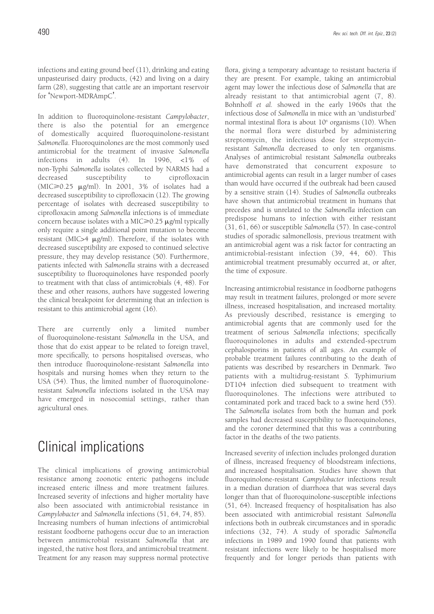infections and eating ground beef (11), drinking and eating unpasteurised dairy products, (42) and living on a dairy farm (28), suggesting that cattle are an important reservoir for 'Newport-MDRAmpC'.

In addition to fluoroquinolone-resistant *Campylobacter*, there is also the potential for an emergence of domestically acquired fluoroquinolone-resistant *Salmonella*. Fluoroquinolones are the most commonly used antimicrobial for the treatment of invasive *Salmonella* infections in adults (4). In 1996, <1% of non-Typhi *Salmonella* isolates collected by NARMS had a decreased susceptibility to ciprofloxacin  $(MIC \geq 0.25$   $\mu$ g/ml). In 2001, 3% of isolates had a decreased susceptibility to ciprofloxacin (12). The growing percentage of isolates with decreased susceptibility to ciprofloxacin among *Salmonella* infections is of immediate concern because isolates with a MIC $\geq$ 0.25  $\mu$ g/ml typically only require a single additional point mutation to become resistant (MIC>4  $\mu$ g/ml). Therefore, if the isolates with decreased susceptibility are exposed to continued selective pressure, they may develop resistance (50). Furthermore, patients infected with *Salmonella* strains with a decreased susceptibility to fluoroquinolones have responded poorly to treatment with that class of antimicrobials (4, 48). For these and other reasons, authors have suggested lowering the clinical breakpoint for determining that an infection is resistant to this antimicrobial agent (16).

There are currently only a limited number of fluoroquinolone-resistant *Salmonella* in the USA, and those that do exist appear to be related to foreign travel, more specifically, to persons hospitalised overseas, who then introduce fluoroquinolone-resistant *Salmonella* into hospitals and nursing homes when they return to the USA (54). Thus, the limited number of fluoroquinoloneresistant *Salmonella* infections isolated in the USA may have emerged in nosocomial settings, rather than agricultural ones.

# Clinical implications

The clinical implications of growing antimicrobial resistance among zoonotic enteric pathogens include increased enteric illness and more treatment failures. Increased severity of infections and higher mortality have also been associated with antimicrobial resistance in *Campylobacter* and *Salmonella* infections (51, 64, 74, 85). Increasing numbers of human infections of antimicrobial resistant foodborne pathogens occur due to an interaction between antimicrobial resistant *Salmonella* that are ingested, the native host flora, and antimicrobial treatment. Treatment for any reason may suppress normal protective flora, giving a temporary advantage to resistant bacteria if they are present. For example, taking an antimicrobial agent may lower the infectious dose of *Salmonella* that are already resistant to that antimicrobial agent (7, 8). Bohnhoff *et al.* showed in the early 1960s that the infectious dose of *Salmonella* in mice with an 'undisturbed' normal intestinal flora is about  $10^6$  organisms (10). When the normal flora were disturbed by administering streptomycin, the infectious dose for streptomycinresistant *Salmonella* decreased to only ten organisms. Analyses of antimicrobial resistant *Salmonella* outbreaks have demonstrated that concurrent exposure to antimicrobial agents can result in a larger number of cases than would have occurred if the outbreak had been caused by a sensitive strain (14). Studies of *Salmonella* outbreaks have shown that antimicrobial treatment in humans that precedes and is unrelated to the *Salmonella* infection can predispose humans to infection with either resistant (31, 61, 66) or susceptible *Salmonella* (57). In case-control studies of sporadic salmonellosis, previous treatment with an antimicrobial agent was a risk factor for contracting an antimicrobial-resistant infection (39, 44, 60). This antimicrobial treatment presumably occurred at, or after, the time of exposure.

Increasing antimicrobial resistance in foodborne pathogens may result in treatment failures, prolonged or more severe illness, increased hospitalisation, and increased mortality. As previously described, resistance is emerging to antimicrobial agents that are commonly used for the treatment of serious *Salmonella* infections; specifically fluoroquinolones in adults and extended-spectrum cephalosporins in patients of all ages. An example of probable treatment failures contributing to the death of patients was described by researchers in Denmark. Two patients with a multidrug-resistant *S.* Typhimurium DT104 infection died subsequent to treatment with fluoroquinolones. The infections were attributed to contaminated pork and traced back to a swine herd (55). The *Salmonella* isolates from both the human and pork samples had decreased susceptibility to fluoroquinolones, and the coroner determined that this was a contributing factor in the deaths of the two patients.

Increased severity of infection includes prolonged duration of illness, increased frequency of bloodstream infections, and increased hospitalisation. Studies have shown that fluoroquinolone-resistant *Campylobacter* infections result in a median duration of diarrhoea that was several days longer than that of fluoroquinolone-susceptible infections (51, 64). Increased frequency of hospitalisation has also been associated with antimicrobial resistant *Salmonella* infections both in outbreak circumstances and in sporadic infections (32, 74). A study of sporadic *Salmonella* infections in 1989 and 1990 found that patients with resistant infections were likely to be hospitalised more frequently and for longer periods than patients with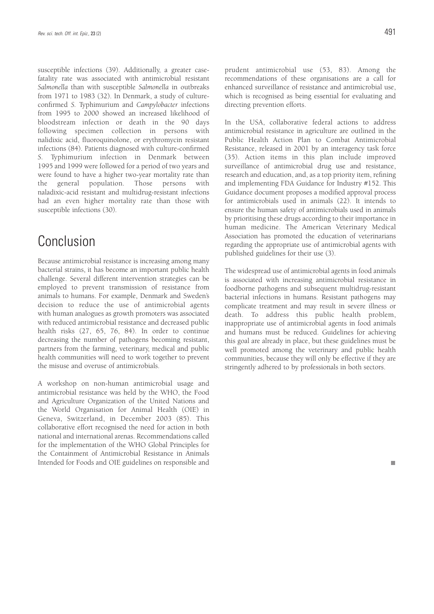susceptible infections (39). Additionally, a greater casefatality rate was associated with antimicrobial resistant *Salmonella* than with susceptible *Salmonella* in outbreaks from 1971 to 1983 (32). In Denmark, a study of cultureconfirmed *S.* Typhimurium and *Campylobacter* infections from 1995 to 2000 showed an increased likelihood of bloodstream infection or death in the 90 days following specimen collection in persons with nalidixic acid, fluoroquinolone, or erythromycin resistant infections (84). Patients diagnosed with culture-confirmed *S.* Typhimurium infection in Denmark between 1995 and 1999 were followed for a period of two years and were found to have a higher two-year mortality rate than the general population. Those persons with naladixic-acid resistant and multidrug-resistant infections had an even higher mortality rate than those with susceptible infections (30).

# Conclusion

Because antimicrobial resistance is increasing among many bacterial strains, it has become an important public health challenge. Several different intervention strategies can be employed to prevent transmission of resistance from animals to humans. For example, Denmark and Sweden's decision to reduce the use of antimicrobial agents with human analogues as growth promoters was associated with reduced antimicrobial resistance and decreased public health risks (27, 65, 76, 84). In order to continue decreasing the number of pathogens becoming resistant, partners from the farming, veterinary, medical and public health communities will need to work together to prevent the misuse and overuse of antimicrobials.

A workshop on non-human antimicrobial usage and antimicrobial resistance was held by the WHO, the Food and Agriculture Organization of the United Nations and the World Organisation for Animal Health (OIE) in Geneva, Switzerland, in December 2003 (85). This collaborative effort recognised the need for action in both national and international arenas. Recommendations called for the implementation of the WHO Global Principles for the Containment of Antimicrobial Resistance in Animals Intended for Foods and OIE guidelines on responsible and prudent antimicrobial use (53, 83). Among the recommendations of these organisations are a call for enhanced surveillance of resistance and antimicrobial use, which is recognised as being essential for evaluating and directing prevention efforts.

In the USA, collaborative federal actions to address antimicrobial resistance in agriculture are outlined in the Public Health Action Plan to Combat Antimicrobial Resistance, released in 2001 by an interagency task force (35). Action items in this plan include improved surveillance of antimicrobial drug use and resistance, research and education, and, as a top priority item, refining and implementing FDA Guidance for Industry #152. This Guidance document proposes a modified approval process for antimicrobials used in animals (22). It intends to ensure the human safety of antimicrobials used in animals by prioritising these drugs according to their importance in human medicine. The American Veterinary Medical Association has promoted the education of veterinarians regarding the appropriate use of antimicrobial agents with published guidelines for their use (3).

The widespread use of antimicrobial agents in food animals is associated with increasing antimicrobial resistance in foodborne pathogens and subsequent multidrug-resistant bacterial infections in humans. Resistant pathogens may complicate treatment and may result in severe illness or death. To address this public health problem, inappropriate use of antimicrobial agents in food animals and humans must be reduced. Guidelines for achieving this goal are already in place, but these guidelines must be well promoted among the veterinary and public health communities, because they will only be effective if they are stringently adhered to by professionals in both sectors.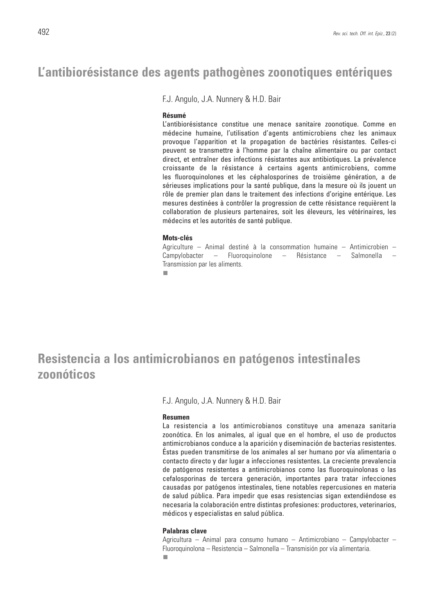## **L'antibiorésistance des agents pathogènes zoonotiques entériques**

F.J. Angulo, J.A. Nunnery & H.D. Bair

### **Résumé**

L'antibiorésistance constitue une menace sanitaire zoonotique. Comme en médecine humaine, l'utilisation d'agents antimicrobiens chez les animaux provoque l'apparition et la propagation de bactéries résistantes. Celles-ci peuvent se transmettre à l'homme par la chaîne alimentaire ou par contact direct, et entraîner des infections résistantes aux antibiotiques. La prévalence croissante de la résistance à certains agents antimicrobiens, comme les fluoroquinolones et les céphalosporines de troisième génération, a de sérieuses implications pour la santé publique, dans la mesure où ils jouent un rôle de premier plan dans le traitement des infections d'origine entérique. Les mesures destinées à contrôler la progression de cette résistance requièrent la collaboration de plusieurs partenaires, soit les éleveurs, les vétérinaires, les médecins et les autorités de santé publique.

### **Mots-clés**

Agriculture – Animal destiné à la consommation humaine – Antimicrobien – Campylobacter – Fluoroquinolone – Résistance – Salmonella – Transmission par les aliments.

п

# **Resistencia a los antimicrobianos en patógenos intestinales zoonóticos**

F.J. Angulo, J.A. Nunnery & H.D. Bair

### **Resumen**

La resistencia a los antimicrobianos constituye una amenaza sanitaria zoonótica. En los animales, al igual que en el hombre, el uso de productos antimicrobianos conduce a la aparición y diseminación de bacterias resistentes. Éstas pueden transmitirse de los animales al ser humano por vía alimentaria o contacto directo y dar lugar a infecciones resistentes. La creciente prevalencia de patógenos resistentes a antimicrobianos como las fluoroquinolonas o las cefalosporinas de tercera generación, importantes para tratar infecciones causadas por patógenos intestinales, tiene notables repercusiones en materia de salud pública. Para impedir que esas resistencias sigan extendiéndose es necesaria la colaboración entre distintas profesiones: productores, veterinarios, médicos y especialistas en salud pública.

### **Palabras clave**

Agricultura – Animal para consumo humano – Antimicrobiano – Campylobacter – Fluoroquinolona – Resistencia – Salmonella – Transmisión por vía alimentaria. п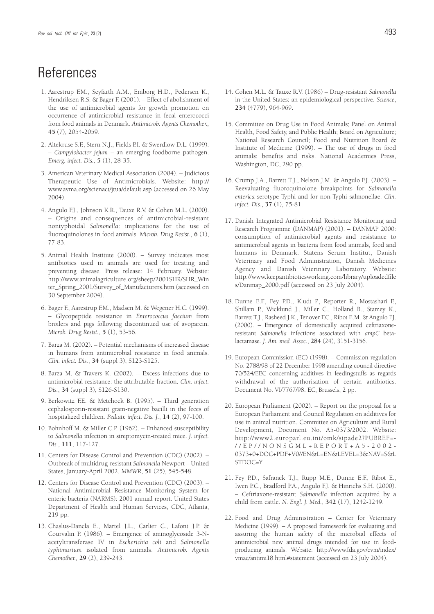# **References**

- 1. Aarestrup F.M., Seyfarth A.M., Emborg H.D., Pedersen K., Hendriksen R.S. & Bager F. (2001). – Effect of abolishment of the use of antimicrobial agents for growth promotion on occurrence of antimicrobial resistance in fecal enterococci from food animals in Denmark. *Antimicrob. Agents Chemother.,* **45** (7), 2054-2059.
- 2. Altekruse S.F., Stern N.J., Fields P.I. & Swerdlow D.L. (1999). – *Campylobacter jejuni* – an emerging foodborne pathogen. *Emerg. infect. Dis.,* **5** (1), 28-35.
- 3. American Veterinary Medical Association (2004). Judicious Therapeutic Use of Antimicrobials. Website: http:// www.avma.org/scienact/jtua/default.asp (accessed on 26 May 2004).
- 4. Angulo F.J., Johnson K.R., Tauxe R.V. & Cohen M.L. (2000). – Origins and consequences of antimicrobial-resistant nontyphoidal *Salmonella*: implications for the use of fluoroquinolones in food animals. *Microb. Drug Resist.*, **6** (1), 77-83.
- 5. Animal Health Institute (2000). Survey indicates most antibiotics used in animals are used for treating and preventing disease. Press release: 14 February. Website: http://www.animalagriculture.org/sheep/2001SHR/SHR\_Win ter\_Spring\_2001/Survey\_of\_Manufacturers.htm (accessed on 30 September 2004).
- 6. Bager F., Aarestrup F.M., Madsen M. & Wegener H.C. (1999). – Glycopeptide resistance in *Enterococcus faecium* from broilers and pigs following discontinued use of avoparcin. *Microb. Drug Resist.*, **5** (1), 53-56.
- 7. Barza M. (2002). Potential mechanisms of increased disease in humans from antimicrobial resistance in food animals. *Clin. infect. Dis.*, **34** (suppl 3), S123-S125.
- 8. Barza M. & Travers K. (2002). Excess infections due to antimicrobial resistance: the attributable fraction. *Clin. infect. Dis.*, **34** (suppl 3), S126-S130.
- 9. Berkowitz F.E. & Metchock B. (1995). Third generation cephalosporin-resistant gram-negative bacilli in the feces of hospitalized children. *Pediatr. infect. Dis. J.*, **14** (2), 97-100.
- 10. Bohnhoff M. & Miller C.P. (1962). Enhanced susceptibility to *Salmonella* infection in streptomycin-treated mice. *J. infect. Dis.*, **111**, 117-127.
- 11. Centers for Disease Control and Prevention (CDC) (2002). Outbreak of multidrug-resistant *Salmonella* Newport – United States, January-April 2002. *MMWR*, **51** (25), 545-548.
- 12. Centers for Disease Control and Prevention (CDC) (2003). National Antimicrobial Resistance Monitoring System for enteric bacteria (NARMS): 2001 annual report. United States Department of Health and Human Services, CDC, Atlanta, 219 pp.
- 13. Chaslus-Dancla E., Martel J.L., Carlier C., Lafont J.P. & Courvalin P. (1986). – Emergence of aminoglycoside 3-Nacetyltransferase IV in *Escherichia coli* and *Salmonella typhimurium* isolated from animals. *Antimicrob. Agents Chemother.,* **29** (2), 239-243.
- 14. Cohen M.L. & Tauxe R.V. (1986) Drug-resistant *Salmonella* in the United States: an epidemiological perspective. *Science*, **234** (4779), 964-969.
- 15. Committee on Drug Use in Food Animals; Panel on Animal Health, Food Safety, and Public Health; Board on Agriculture; National Research Council; Food and Nutrition Board & Institute of Medicine (1999). – The use of drugs in food animals: benefits and risks. National Academies Press, Washington, DC, 290 pp.
- 16. Crump J.A., Barrett T.J., Nelson J.M. & Angulo F.J. (2003). Reevaluating fluoroquinolone breakpoints for *Salmonella enterica* serotype Typhi and for non-Typhi salmonellae. *Clin. infect. Dis.*, **37** (1), 75-81.
- 17. Danish Integrated Antimicrobial Resistance Monitoring and Research Programme (DANMAP) (2001). – DANMAP 2000: consumption of antimicrobial agents and resistance to antimicrobial agents in bacteria from food animals, food and humans in Denmark. Statens Serum Institut, Danish Veterinary and Food Administration, Danish Medicines Agency and Danish Veterinary Laboratory. Website: http://www.keepantibioticsworking.com/library/uploadedfile s/Danmap\_2000.pdf (accessed on 23 July 2004).
- 18. Dunne E.F., Fey P.D., Kludt P., Reporter R., Mostashari F., Shillam P., Wicklund J., Miller C., Holland B., Stamey K., Barrett T.J., Rasheed J.K., Tenover F.C., Ribot E.M. & Angulo FJ. (2000). – Emergence of domestically acquired ceftriaxoneresistant *Salmonella* infections associated with *ampC* betalactamase. *J. Am. med. Assoc.*, **284** (24), 3151-3156.
- 19. European Commission (EC) (1998). Commission regulation No. 2788/98 of 22 December 1998 amending council directive 70/524/EEC concerning additives in feedingstuffs as regards withdrawal of the authorisation of certain antibiotics. Document No. VI/7767/98. EC, Brussels, 2 pp.
- 20. European Parliament (2002). Report on the proposal for a European Parliament and Council Regulation on additives for use in animal nutrition. Committee on Agriculture and Rural Development, Document No. A5-0373/2002. Website: http://www2.europarl.eu.int/omk/sipade2?PUBREF=- //EP//NONSGML+REPORT+A5-2002- 0373+0+DOC+PDF+V0//EN&L=EN&LEVEL=3&NAV=S&L STDOC=Y
- 21. Fey P.D., Safranek T.J., Rupp M.E., Dunne E.F., Ribot E., Iwen P.C., Bradford P.A., Angulo F.J. & Hinrichs S.H. (2000). – Ceftriaxone-resistant *Salmonella* infection acquired by a child from cattle. *N. Engl. J. Med.*, **342** (17), 1242-1249.
- 22. Food and Drug Administration Center for Veterinary Medicine (1999). – A proposed framework for evaluating and assuring the human safety of the microbial effects of antimicrobial new animal drugs intended for use in foodproducing animals. Website: http://www.fda.gov/cvm/index/ vmac/antimi18.html#statement (accessed on 23 July 2004).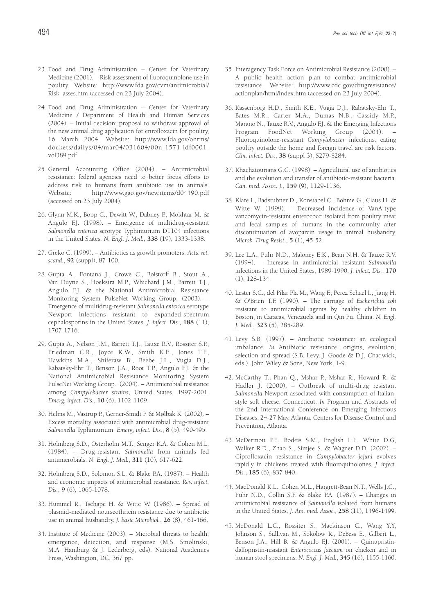- 23. Food and Drug Administration Center for Veterinary Medicine (2001). – Risk assessment of fluoroquinolone use in poultry. Website: http://www.fda.gov/cvm/antimicrobial/ Risk\_asses.htm (accessed on 23 July 2004).
- 24. Food and Drug Administration Center for Veterinary Medicine / Department of Health and Human Services (2004). – Initial decision: proposal to withdraw approval of the new animal drug application for enrofloxacin for poultry, 16 March 2004. Website: http://www.fda.gov/ohrms/ dockets/dailys/04/mar04/031604/00n-1571-idf0001 vol389.pdf
- 25. General Accounting Office (2004). Antimicrobial resistance: federal agencies need to better focus efforts to address risk to humans from antibiotic use in animals. Website: http://www.gao.gov/new.items/d04490.pdf (accessed on 23 July 2004).
- 26. Glynn M.K., Bopp C., Dewitt W., Dabney P., Mokhtar M. & Angulo F.J. (1998). – Emergence of multidrug-resistant *Salmonella enterica* serotype Typhimurium DT104 infections in the United States. *N. Engl. J. Med.*, **338** (19), 1333-1338.
- 27. Greko C. (1999). Antibiotics as growth promoters. *Acta vet. scand.*, **92** (suppl), 87-100.
- 28. Gupta A., Fontana J., Crowe C., Bolstorff B., Stout A., Van Duyne S., Hoekstra M.P., Whichard J.M., Barrett T.J., Angulo F.J. & the National Antimicrobial Resistance Monitoring System PulseNet Working Group. (2003). – Emergence of multidrug-resistant *Salmonella enterica* serotype Newport infections resistant to expanded-spectrum cephalosporins in the United States. *J. infect. Dis.*, **188** (11), 1707-1716.
- 29. Gupta A., Nelson J.M., Barrett T.J., Tauxe R.V., Rossiter S.P., Friedman C.R., Joyce K.W., Smith K.E., Jones T.F., Hawkins M.A., Shiferaw B., Beebe J.L., Vugia D.J., Rabatsky-Ehr T., Benson J.A., Root T.P., Angulo F.J. & the National Antimicrobial Resistance Monitoring System PulseNet Working Group. (2004). – Antimicrobial resistance among *Campylobacter strains*, United States, 1997-2001. *Emerg. infect. Dis.*, **10** (6), 1102-1109.
- 30. Helms M., Vastrup P., Gerner-Smidt P. & Mølbak K. (2002). Excess mortality associated with antimicrobial drug-resistant *Salmonella* Typhimurium. *Emerg, infect. Dis.*, **8** (5), 490-495.
- 31. Holmberg S.D., Osterholm M.T., Senger K.A. & Cohen M.L. (1984). – Drug-resistant *Salmonella* from animals fed antimicrobials. *N. Engl. J. Med.*, **311** (10), 617-622.
- 32. Holmberg S.D., Solomon S.L. & Blake P.A. (1987). Health and economic impacts of antimicrobial resistance. *Rev. infect. Dis.*, **9** (6), 1065-1078.
- 33. Hummel R., Tschape H. & Witte W. (1986). Spread of plasmid-mediated nourseothricin resistance due to antibiotic use in animal husbandry. *J. basic Microbiol.*, **26** (8), 461-466.
- 34. Institute of Medicine (2003). Microbial threats to health: emergence, detection, and response (M.S. Smolinski, M.A. Hamburg & J. Lederberg, eds). National Academies Press, Washington, DC, 367 pp.
- 35. Interagency Task Force on Antimicrobial Resistance (2000). A public health action plan to combat antimicrobial resistance. Website: http://www.cdc.gov/drugresistance/ actionplan/html/index.htm (accessed on 23 July 2004).
- 36. Kassenborg H.D., Smith K.E., Vugia D.J., Rabatsky-Ehr T., Bates M.R., Carter M.A., Dumas N.B., Cassidy M.P., Marano N., Tauxe R.V., Angulo F.J. & the Emerging Infections Program FoodNet Working Group (2004). Fluoroquinolone-resistant *Campylobacter* infections: eating poultry outside the home and foreign travel are risk factors. *Clin. infect. Dis.*, **38** (suppl 3), S279-S284.
- 37. Khachatourians G.G. (1998). Agricultural use of antibiotics and the evolution and transfer of antibiotic-resistant bacteria. *Can. med. Assoc. J.*, **159** (9), 1129-1136.
- 38. Klare I., Badstubner D., Konstabel C., Bohme G., Claus H. & Witte W. (1999). – Decreased incidence of VanA-type vancomycin-resistant enterococci isolated from poultry meat and fecal samples of humans in the community after discontinuation of avoparcin usage in animal husbandry. *Microb. Drug Resist.*, **5** (1), 45-52.
- 39. Lee L.A., Puhr N.D., Maloney E.K., Bean N.H. & Tauxe R.V. (1994). – Increase in antimicrobial resistant *Salmonella* infections in the United States, 1989-1990. *J. infect. Dis.*, **170** (1), 128-134.
- 40. Lester S.C., del Pilar Pla M., Wang F., Perez Schael I., Jiang H. & O'Brien T.F. (1990). – The carriage of *Escherichia coli* resistant to antimicrobial agents by healthy children in Boston, in Caracas, Venezuela and in Qin Pu, China. *N. Engl. J. Med.*, **323** (5), 285-289.
- 41. Levy S.B. (1997). Antibiotic resistance: an ecological imbalance. *In* Antibiotic resistance: origins, evolution, selection and spread (S.B. Levy, J. Goode & D.J. Chadwick, eds.). John Wiley & Sons, New York, 1-9.
- 42. McCarthy T., Phan Q., Mshar P., Mshar R., Howard R. & Hadler J. (2000). – Outbreak of multi-drug resistant *Salmonella* Newport associated with consumption of Italianstyle soft cheese, Connecticut. *In* Program and Abstracts of the 2nd International Conference on Emerging Infectious Diseases, 24-27 May, Atlanta. Centers for Disease Control and Prevention, Atlanta.
- 43. McDermott P.F., Bodeis S.M., English L.I., White D.G, Walker R.D., Zhao S., Simjee S. & Wagner D.D. (2002). – Ciprofloxacin resistance in *Campylobacter jejuni* evolves rapidly in chickens treated with fluoroquinolones. *J. infect. Dis.*, **185** (6), 837-840.
- 44. MacDonald K.L., Cohen M.L., Hargrett-Bean N.T., Wells J.G., Puhr N.D., Collin S.F. & Blake P.A. (1987). – Changes in antimicrobial resistance of *Salmonella* isolated from humans in the United States. *J. Am. med. Assoc.,* **258** (11), 1496-1499.
- 45. McDonald L.C., Rossiter S., Mackinson C., Wang Y.Y, Johnson S., Sullivan M., Sokolow R., DeBess E., Gilbert L., Benson J.A., Hill B. & Angulo F.J. (2001). - Quinupristindalfopristin-resistant *Enterococcus faecium* on chicken and in human stool specimens. *N. Engl. J. Med.*, **345** (16), 1155-1160.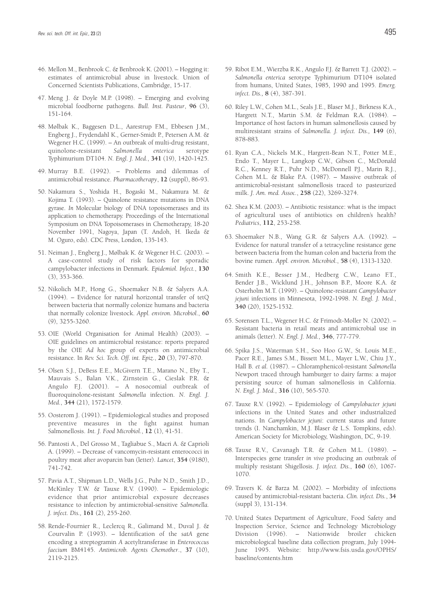- 46. Mellon M., Benbrook C. & Benbrook K. (2001). Hogging it: estimates of antimicrobial abuse in livestock. Union of Concerned Scientists Publications, Cambridge, 15-17.
- 47. Meng J. & Doyle M.P. (1998). Emerging and evolving microbial foodborne pathogens. *Bull. Inst. Pasteur*, **96** (3), 151-164.
- 48. Mølbak K., Baggesen D.L., Aarestrup F.M., Ebbesen J.M., Engberg J., Frydendahl K., Gerner-Smidt P., Petersen A.M. & Wegener H.C. (1999). – An outbreak of multi-drug resistant, quinolone-resistant *Salmonella enterica* serotype Typhimurium DT104. *N. Engl. J. Med.*, **341** (19), 1420-1425.
- 49. Murray B.E. (1992). Problems and dilemmas of antimicrobial resistance. *Pharmacotherapy*, **12** (suppl), 86-93.
- 50. Nakamura S., Yoshida H., Bogaski M., Nakamura M. & Kojima T. (1993). – Quinolone resistance mutations in DNA gyrase. *In* Molecular biology of DNA topoisomerases and its application to chemotherapy. Proceedings of the International Symposium on DNA Topoisomerases in Chemotherapy, 18-20 November 1991, Nagoya, Japan (T. Andoh, H. Ikeda & M. Oguro, eds). CDC Press, London, 135-143.
- 51. Neiman J., Engberg J., Mølbak K. & Wegener H.C. (2003). A case-control study of risk factors for sporadic campylobacter infections in Denmark. *Epidemiol. Infect.*, **130** (3), 353-366.
- 52. Nikolich M.P., Hong G., Shoemaker N.B. & Salyers A.A. (1994). – Evidence for natural horizontal transfer of tetQ between bacteria that normally colonize humans and bacteria that normally colonize livestock. *Appl. environ. Microbiol.*, **60** (9), 3255-3260.
- 53. OIE (World Organisation for Animal Health) (2003). OIE guidelines on antimicrobial resistance: reports prepared by the OIE *Ad hoc* group of experts on antimicrobial resistance. In *Rev. Sci. Tech. Off. int. Epiz.*, **20** (3), 797-870.
- 54. Olsen S.J., DeBess E.E., McGivern T.E., Marano N., Eby T., Mauvais S., Balan V.K., Zirnstein G., Cieslak P.R. & Angulo F.J. (2001). – A nosocomial outbreak of fluoroquinolone-resistant *Salmonella* infection. *N. Engl. J. Med.*, **344** (21), 1572-1579.
- 55. Oosterom J. (1991). Epidemiological studies and proposed preventive measures in the fight against human Salmonellosis. *Int. J. Food Microbiol.*, **12** (1), 41-51.
- 56. Pantosti A., Del Grosso M., Tagliabue S., Macri A. & Caprioli A. (1999). – Decrease of vancomycin-resistant enterococci in poultry meat after avoparcin ban (letter). *Lancet*, **354** (9180), 741-742.
- 57. Pavia A.T., Shipman L.D., Wells J.G., Puhr N.D., Smith J.D., McKinley T.W. & Tauxe R.V. (1990). – Epidemiologic evidence that prior antimicrobial exposure decreases resistance to infection by antimicrobial-sensitive *Salmonella. J. infect. Dis.,* **161** (2), 255-260.
- 58. Rende-Fournier R., Leclercq R., Galimand M., Duval J. & Courvalin P. (1993). – Identification of the *satA* gene encoding a streptogramin *A* acetyltransferase in *Enterococcus faecium* BM4145. *Antimicrob. Agents Chemother*., **37** (10), 2119-2125.
- 59. Ribot E.M., Wierzba R.K., Angulo F.J. & Barrett T.J. (2002). *Salmonella enterica* serotype Typhimurium DT104 isolated from humans, United States, 1985, 1990 and 1995. *Emerg. infect. Dis.,* **8** (4), 387-391.
- 60. Riley L.W., Cohen M.L., Seals J.E., Blaser M.J., Birkness K.A., Hargrett N.T., Martin S.M. & Feldman R.A. (1984). – Importance of host factors in human salmonellosis caused by multiresistant strains of *Salmonella. J. infect. Dis.,* **149** (6), 878-883.
- 61. Ryan C.A., Nickels M.K., Hargrett-Bean N.T., Potter M.E., Endo T., Mayer L., Langkop C.W., Gibson C., McDonald R.C., Kenney R.T., Puhr N.D., McDonnell P.J., Marin R.J., Cohen M.L. & Blake P.A. (1987). – Massive outbreak of antimicrobial-resistant salmonellosis traced to pasteurized milk. *J. Am. med. Assoc.*, **258** (22), 3269-3274.
- 62. Shea K.M. (2003). Antibiotic resistance: what is the impact of agricultural uses of antibiotics on children's health? *Pediatrics*, **112**, 253-258.
- 63. Shoemaker N.B., Wang G.R. & Salyers A.A. (1992). Evidence for natural transfer of a tetracycline resistance gene between bacteria from the human colon and bacteria from the bovine rumen. *Appl. environ. Microbiol.*, **58** (4), 1313-1320.
- 64. Smith K.E., Besser J.M., Hedberg C.W., Leano F.T., Bender J.B., Wicklund J.H., Johnson B.P., Moore K.A. & Osterholm M.T. (1999). – Quinolone-resistant *Campylobacter jejuni* infections in Minnesota, 1992-1998. *N. Engl. J. Med.*, **340** (20), 1525-1532.
- 65. Sorensen T.L., Wegener H.C. & Frimodt-Moller N. (2002). Resistant bacteria in retail meats and antimicrobial use in animals (letter). *N. Engl. J. Med.*, **346**, 777-779.
- 66. Spika J.S., Waterman S.H., Soo Hoo G.W., St. Louis M.E., Pacer R.E., James S.M., Bissett M.L., Mayer L.W., Chiu J.Y., Hall B. *et al.* (1987). – Chloramphenicol-resistant *Salmonella* Newport traced through hamburger to dairy farms: a major persisting source of human salmonellosis in California. *N. Engl. J. Med.*, **316** (10), 565-570.
- 67. Tauxe R.V. (1992). Epidemiology of *Campylobacter jejuni* infections in the United States and other industrialized nations. In *Campylobacter jejuni*: current status and future trends (I. Nanchamkin, M.J. Blaser & L.S. Tompkins, eds). American Society for Microbiology, Washington, DC, 9-19.
- 68. Tauxe R.V., Cavanagh T.R. & Cohen M.L. (1989). Interspecies gene transfer *in vivo* producing an outbreak of multiply resistant Shigellosis. *J. infect. Dis.*, **160** (6), 1067- 1070.
- 69. Travers K. & Barza M. (2002). Morbidity of infections caused by antimicrobial-resistant bacteria. *Clin. infect. Dis.*, **34** (suppl 3), 131-134.
- 70. United States Department of Agriculture, Food Safety and Inspection Service, Science and Technology Microbiology Division (1996). – Nationwide broiler chicken microbiological baseline data collection program, July 1994- June 1995. Website: http://www.fsis.usda.gov/OPHS/ baseline/contents.htm